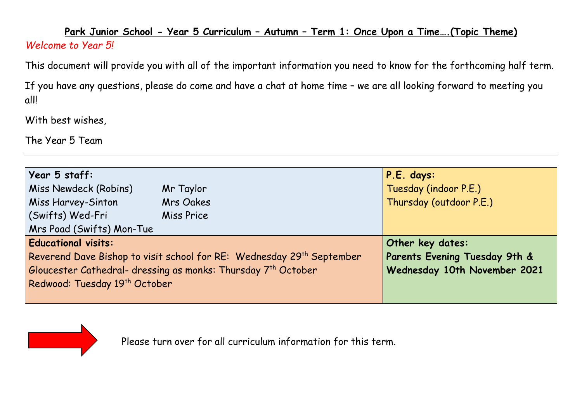## **Park Junior School - Year 5 Curriculum – Autumn – Term 1: Once Upon a Time….(Topic Theme)**  *Welcome to Year 5!*

This document will provide you with all of the important information you need to know for the forthcoming half term.

If you have any questions, please do come and have a chat at home time – we are all looking forward to meeting you all!

With best wishes,

The Year 5 Team

| Year 5 staff:                                                                     |                  | P.E. days:                    |
|-----------------------------------------------------------------------------------|------------------|-------------------------------|
| Miss Newdeck (Robins)                                                             | Mr Taylor        | Tuesday (indoor P.E.)         |
| Miss Harvey-Sinton                                                                | Mrs Oakes        | Thursday (outdoor P.E.)       |
| (Swifts) Wed-Fri                                                                  | Miss Price       |                               |
| Mrs Poad (Swifts) Mon-Tue                                                         |                  |                               |
| <b>Educational visits:</b>                                                        | Other key dates: |                               |
| Reverend Dave Bishop to visit school for RE: Wednesday 29 <sup>th</sup> September |                  | Parents Evening Tuesday 9th & |
| Gloucester Cathedral- dressing as monks: Thursday 7 <sup>th</sup> October         |                  | Wednesday 10th November 2021  |
| Redwood: Tuesday 19th October                                                     |                  |                               |
|                                                                                   |                  |                               |

Please turn over for all curriculum information for this term.